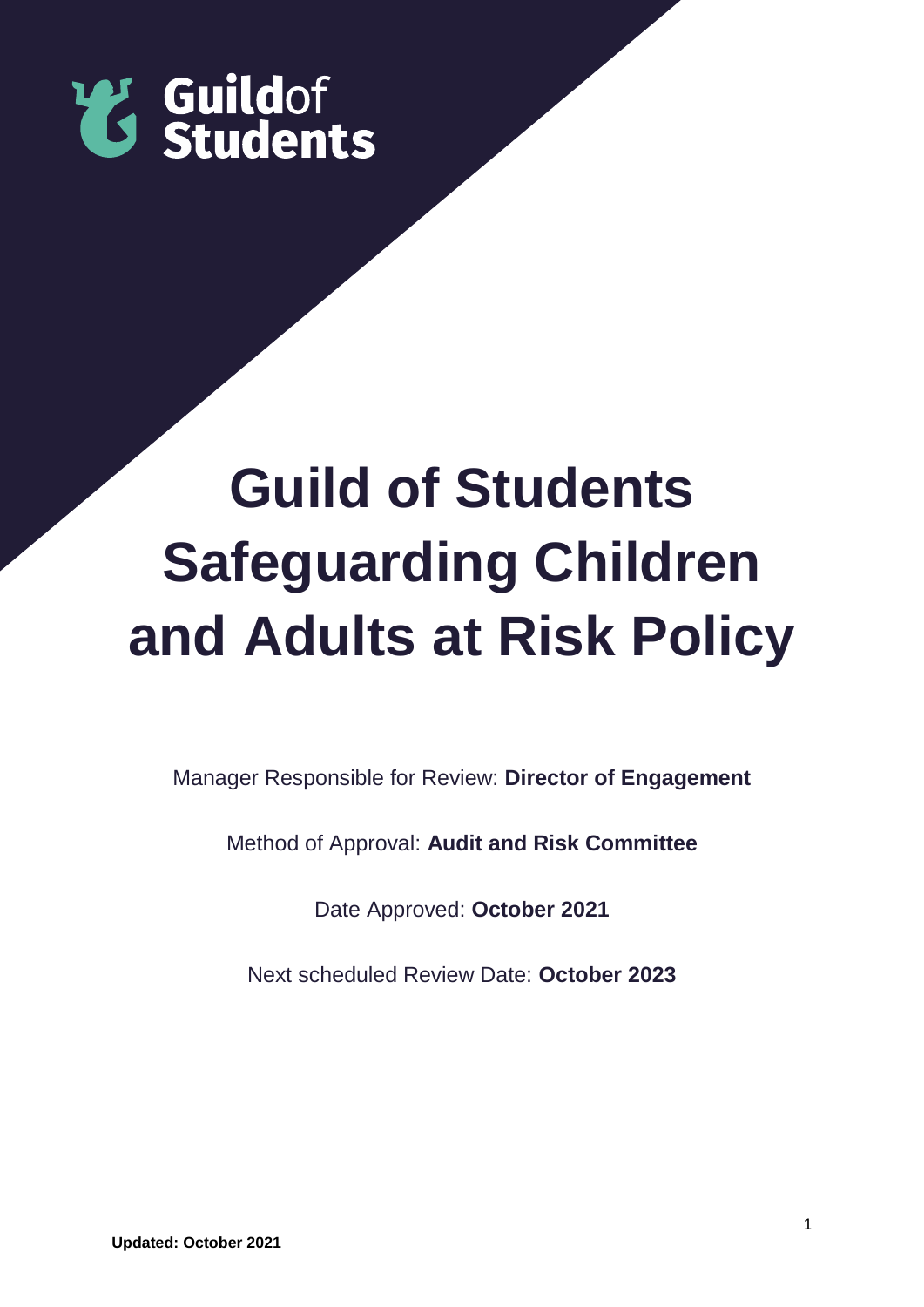

# **Guild of Students Safeguarding Children and Adults at Risk Policy**

Manager Responsible for Review: **Director of Engagement**

Method of Approval: **Audit and Risk Committee**

Date Approved: **October 2021**

Next scheduled Review Date: **October 2023**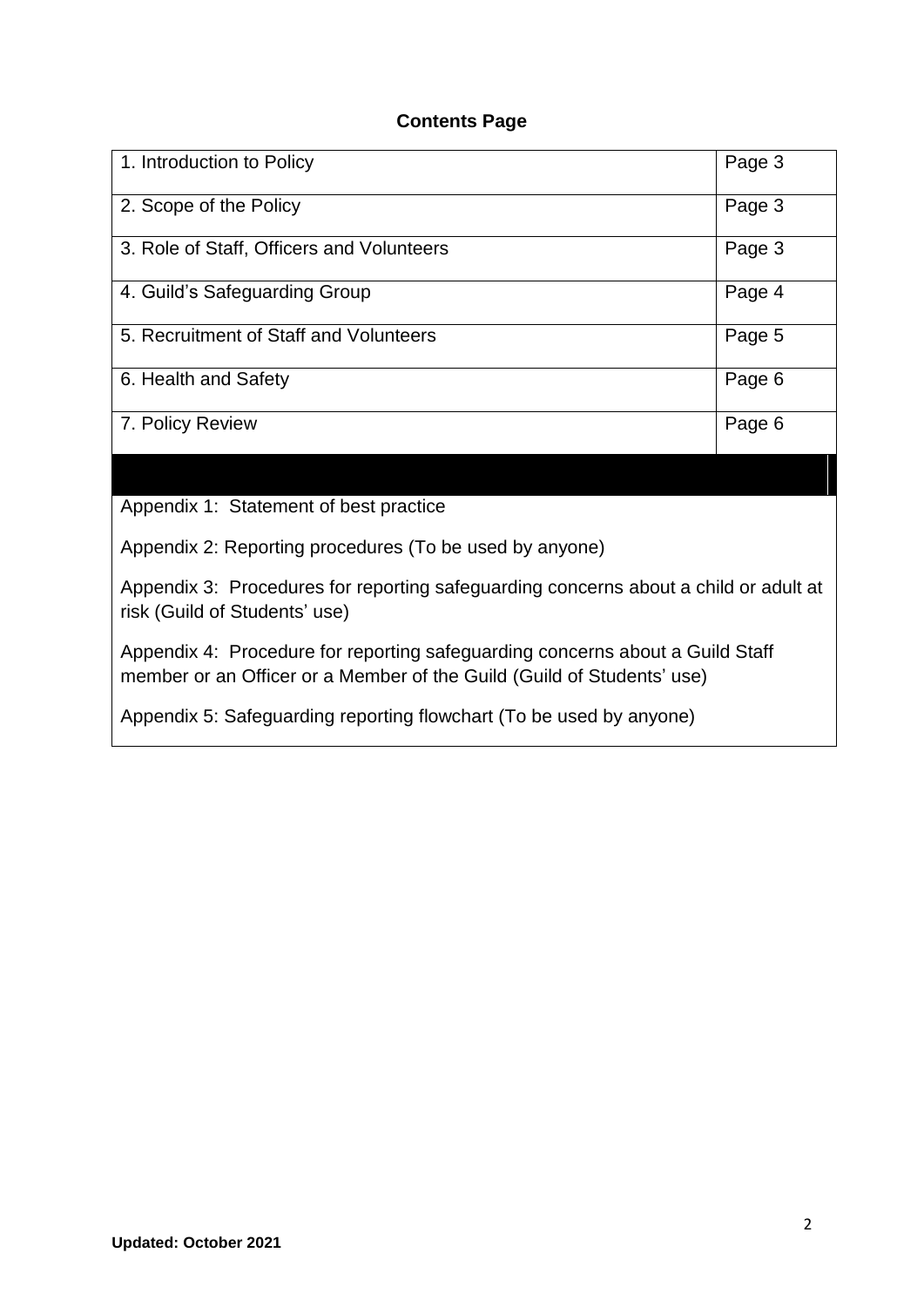## **Contents Page**

| 1. Introduction to Policy                 | Page 3 |
|-------------------------------------------|--------|
| 2. Scope of the Policy                    | Page 3 |
| 3. Role of Staff, Officers and Volunteers | Page 3 |
| 4. Guild's Safeguarding Group             | Page 4 |
| 5. Recruitment of Staff and Volunteers    | Page 5 |
| 6. Health and Safety                      | Page 6 |
| 7. Policy Review                          | Page 6 |

Appendix 1: Statement of best practice

Appendix 2: Reporting procedures (To be used by anyone)

Appendix 3: Procedures for reporting safeguarding concerns about a child or adult at risk (Guild of Students' use)

Appendix 4: Procedure for reporting safeguarding concerns about a Guild Staff member or an Officer or a Member of the Guild (Guild of Students' use)

Appendix 5: Safeguarding reporting flowchart (To be used by anyone)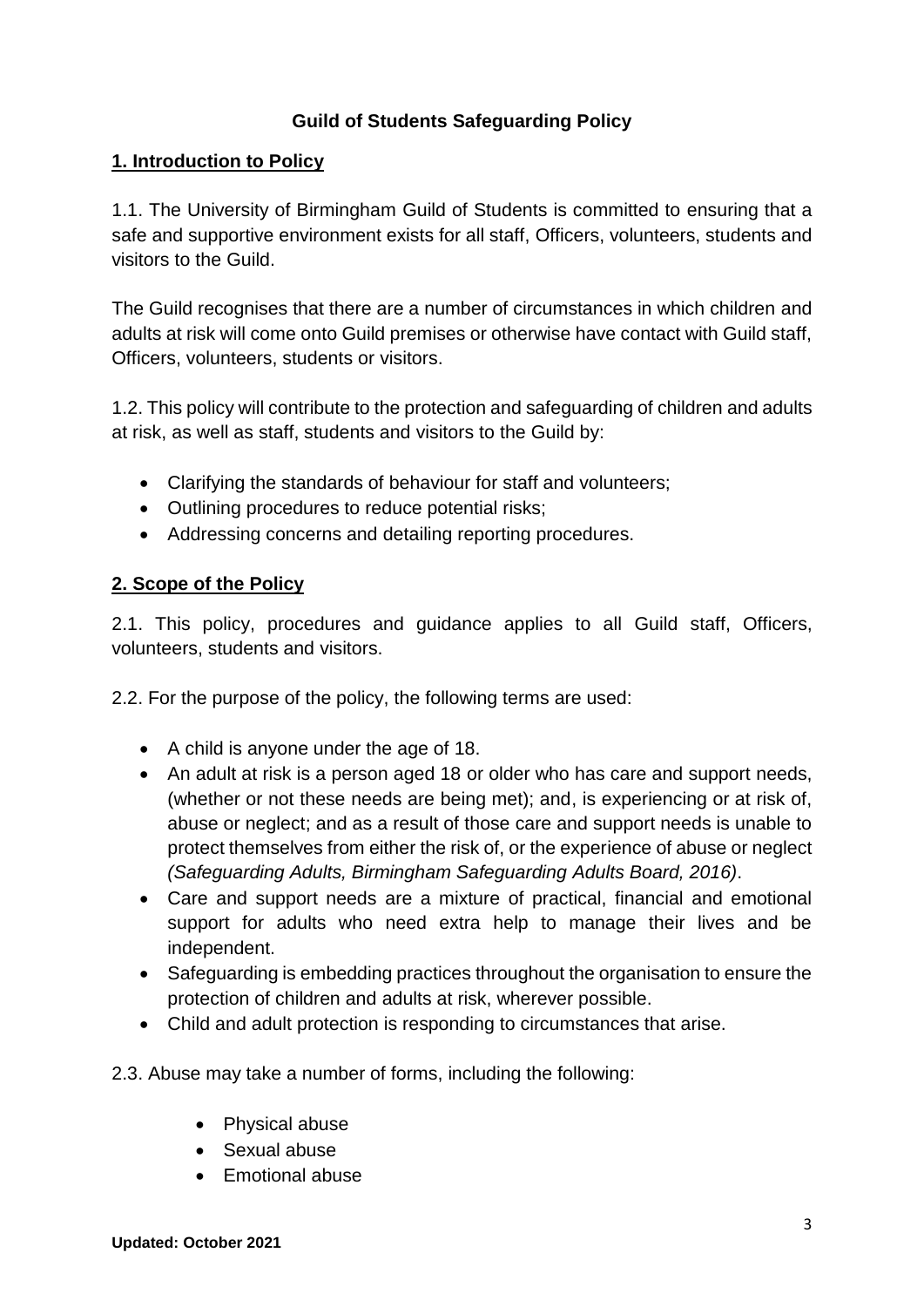# **Guild of Students Safeguarding Policy**

## **1. Introduction to Policy**

1.1. The University of Birmingham Guild of Students is committed to ensuring that a safe and supportive environment exists for all staff, Officers, volunteers, students and visitors to the Guild.

The Guild recognises that there are a number of circumstances in which children and adults at risk will come onto Guild premises or otherwise have contact with Guild staff, Officers, volunteers, students or visitors.

1.2. This policy will contribute to the protection and safeguarding of children and adults at risk, as well as staff, students and visitors to the Guild by:

- Clarifying the standards of behaviour for staff and volunteers;
- Outlining procedures to reduce potential risks;
- Addressing concerns and detailing reporting procedures.

# **2. Scope of the Policy**

2.1. This policy, procedures and guidance applies to all Guild staff, Officers, volunteers, students and visitors.

2.2. For the purpose of the policy, the following terms are used:

- A child is anyone under the age of 18.
- An adult at risk is a person aged 18 or older who has care and support needs, (whether or not these needs are being met); and, is experiencing or at risk of, abuse or neglect; and as a result of those care and support needs is unable to protect themselves from either the risk of, or the experience of abuse or neglect *(Safeguarding Adults, Birmingham Safeguarding Adults Board, 2016)*.
- Care and support needs are a mixture of practical, financial and emotional support for adults who need extra help to manage their lives and be independent.
- Safeguarding is embedding practices throughout the organisation to ensure the protection of children and adults at risk, wherever possible.
- Child and adult protection is responding to circumstances that arise.
- 2.3. Abuse may take a number of forms, including the following:
	- Physical abuse
	- Sexual abuse
	- Emotional abuse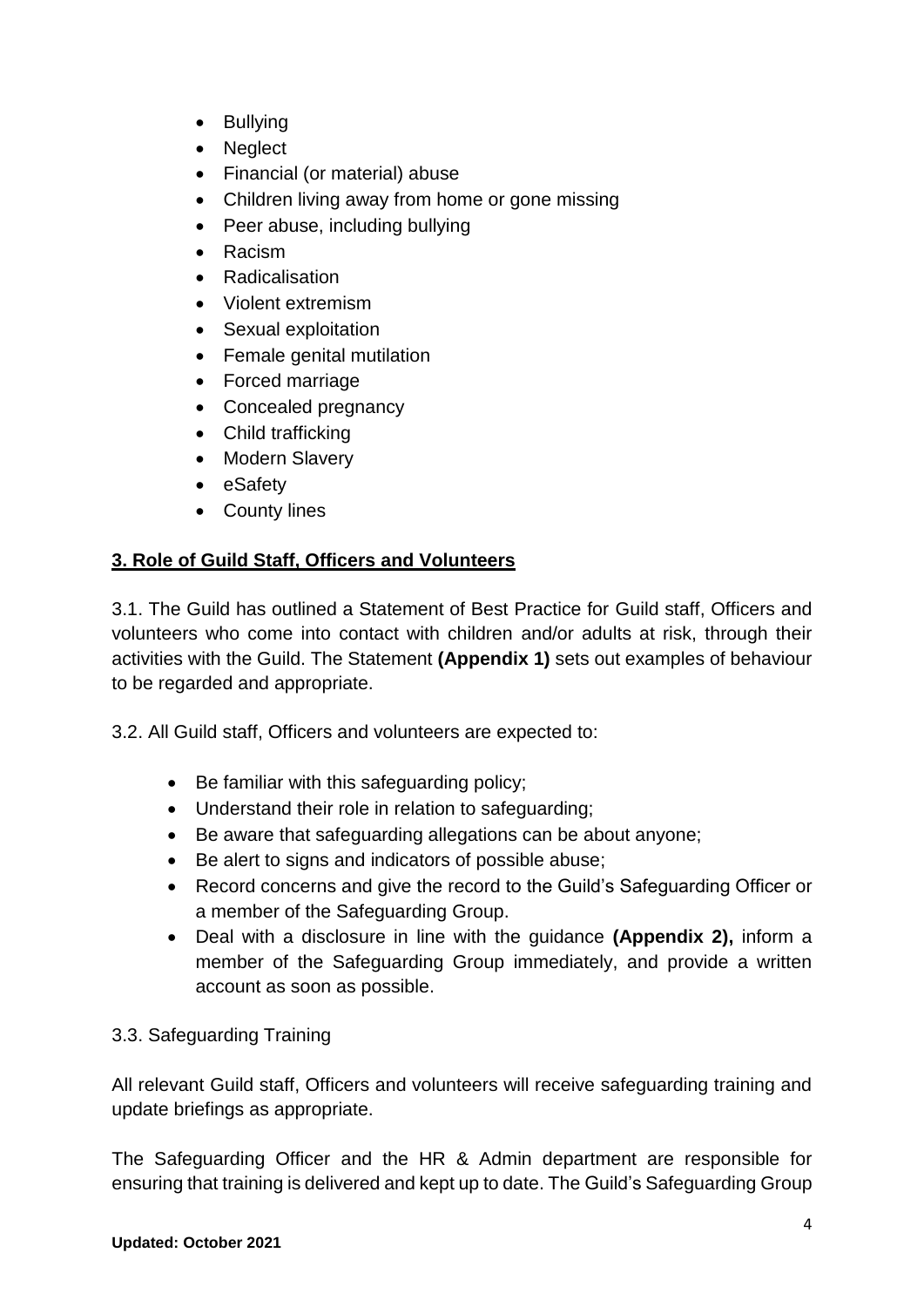- Bullying
- Neglect
- Financial (or material) abuse
- Children living away from home or gone missing
- Peer abuse, including bullying
- Racism
- Radicalisation
- Violent extremism
- Sexual exploitation
- Female genital mutilation
- Forced marriage
- Concealed pregnancy
- Child trafficking
- Modern Slavery
- eSafety
- County lines

# **3. Role of Guild Staff, Officers and Volunteers**

3.1. The Guild has outlined a Statement of Best Practice for Guild staff, Officers and volunteers who come into contact with children and/or adults at risk, through their activities with the Guild. The Statement **(Appendix 1)** sets out examples of behaviour to be regarded and appropriate.

3.2. All Guild staff, Officers and volunteers are expected to:

- Be familiar with this safeguarding policy;
- Understand their role in relation to safeguarding;
- Be aware that safeguarding allegations can be about anyone;
- Be alert to signs and indicators of possible abuse;
- Record concerns and give the record to the Guild's Safeguarding Officer or a member of the Safeguarding Group.
- Deal with a disclosure in line with the guidance **(Appendix 2),** inform a member of the Safeguarding Group immediately, and provide a written account as soon as possible.

# 3.3. Safeguarding Training

All relevant Guild staff, Officers and volunteers will receive safeguarding training and update briefings as appropriate.

The Safeguarding Officer and the HR & Admin department are responsible for ensuring that training is delivered and kept up to date. The Guild's Safeguarding Group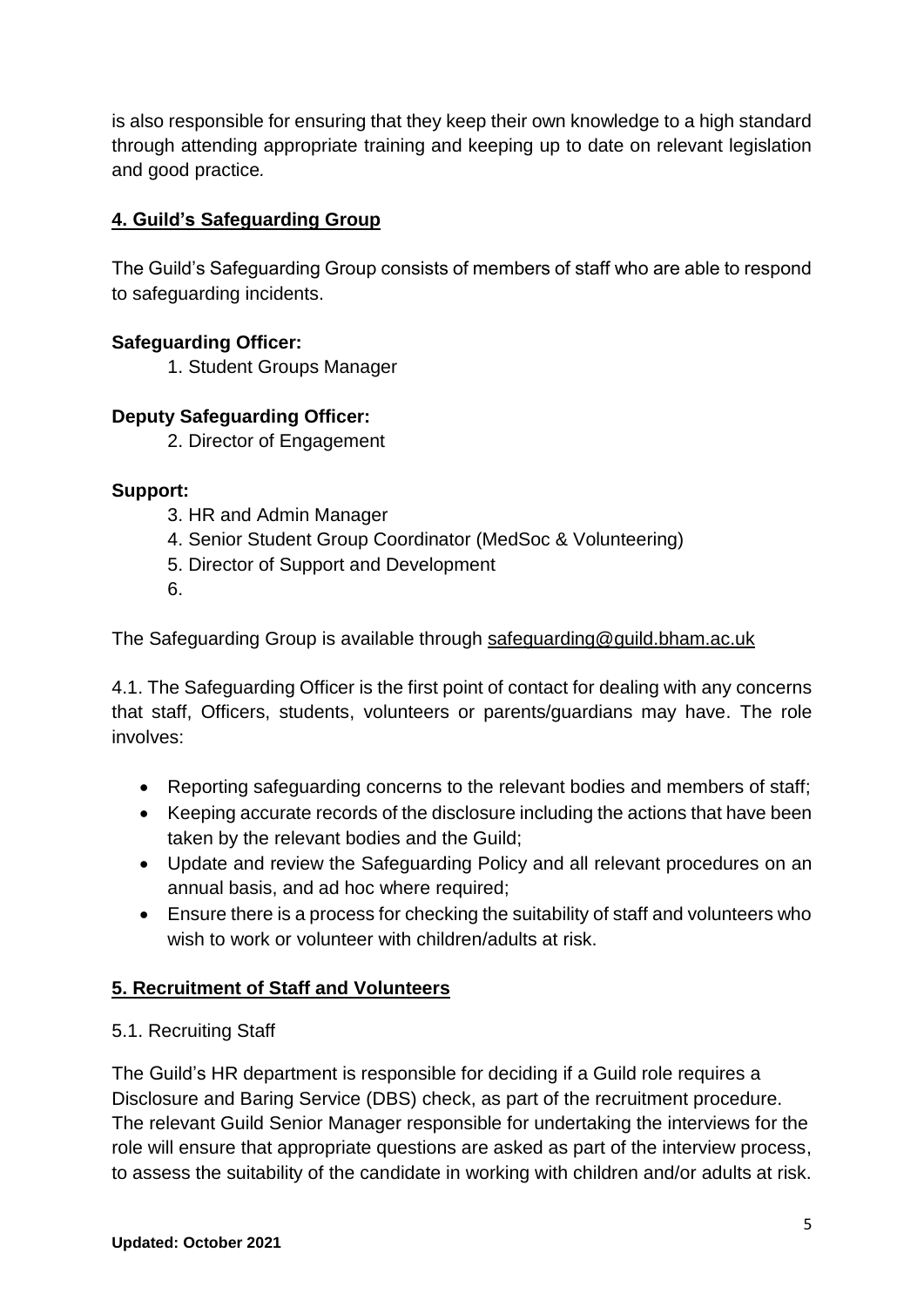is also responsible for ensuring that they keep their own knowledge to a high standard through attending appropriate training and keeping up to date on relevant legislation and good practice*.*

# **4. Guild's Safeguarding Group**

The Guild's Safeguarding Group consists of members of staff who are able to respond to safeguarding incidents.

# **Safeguarding Officer:**

1. Student Groups Manager

# **Deputy Safeguarding Officer:**

2. Director of Engagement

# **Support:**

- 3. HR and Admin Manager
- 4. Senior Student Group Coordinator (MedSoc & Volunteering)
- 5. Director of Support and Development
- 6.

The Safeguarding Group is available through [safeguarding@guild.bham.ac.uk](mailto:safeguarding@guild.bham.ac.uk)

4.1. The Safeguarding Officer is the first point of contact for dealing with any concerns that staff, Officers, students, volunteers or parents/guardians may have. The role involves:

- Reporting safeguarding concerns to the relevant bodies and members of staff;
- Keeping accurate records of the disclosure including the actions that have been taken by the relevant bodies and the Guild;
- Update and review the Safeguarding Policy and all relevant procedures on an annual basis, and ad hoc where required;
- Ensure there is a process for checking the suitability of staff and volunteers who wish to work or volunteer with children/adults at risk.

# **5. Recruitment of Staff and Volunteers**

# 5.1. Recruiting Staff

The Guild's HR department is responsible for deciding if a Guild role requires a Disclosure and Baring Service (DBS) check, as part of the recruitment procedure. The relevant Guild Senior Manager responsible for undertaking the interviews for the role will ensure that appropriate questions are asked as part of the interview process, to assess the suitability of the candidate in working with children and/or adults at risk.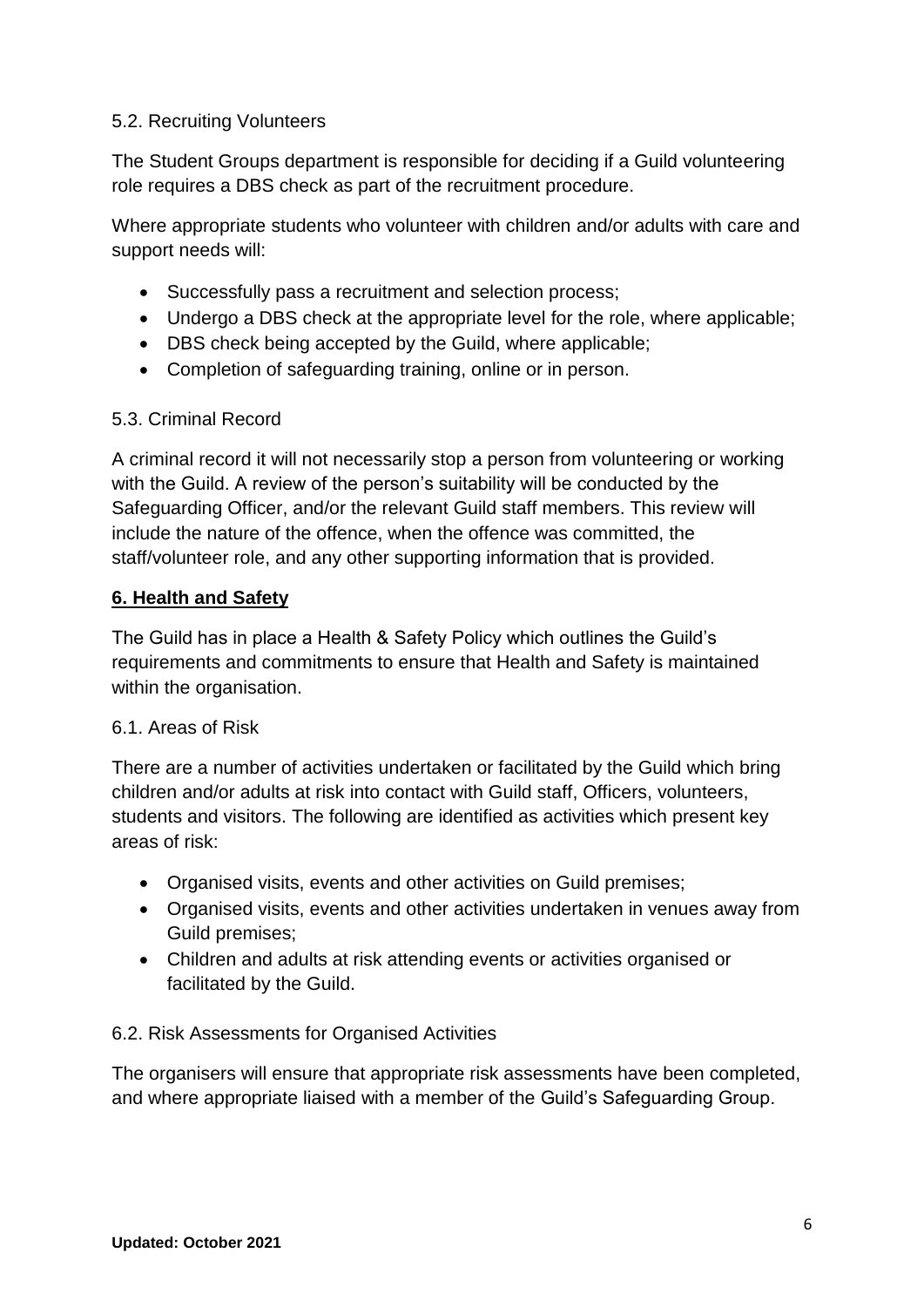## 5.2. Recruiting Volunteers

The Student Groups department is responsible for deciding if a Guild volunteering role requires a DBS check as part of the recruitment procedure.

Where appropriate students who volunteer with children and/or adults with care and support needs will:

- Successfully pass a recruitment and selection process;
- Undergo a DBS check at the appropriate level for the role, where applicable;
- DBS check being accepted by the Guild, where applicable;
- Completion of safeguarding training, online or in person.

#### 5.3. Criminal Record

A criminal record it will not necessarily stop a person from volunteering or working with the Guild. A review of the person's suitability will be conducted by the Safeguarding Officer, and/or the relevant Guild staff members. This review will include the nature of the offence, when the offence was committed, the staff/volunteer role, and any other supporting information that is provided.

## **6. Health and Safety**

The Guild has in place a Health & Safety Policy which outlines the Guild's requirements and commitments to ensure that Health and Safety is maintained within the organisation.

#### 6.1. Areas of Risk

There are a number of activities undertaken or facilitated by the Guild which bring children and/or adults at risk into contact with Guild staff, Officers, volunteers, students and visitors. The following are identified as activities which present key areas of risk:

- Organised visits, events and other activities on Guild premises;
- Organised visits, events and other activities undertaken in venues away from Guild premises;
- Children and adults at risk attending events or activities organised or facilitated by the Guild.

#### 6.2. Risk Assessments for Organised Activities

The organisers will ensure that appropriate risk assessments have been completed, and where appropriate liaised with a member of the Guild's Safeguarding Group.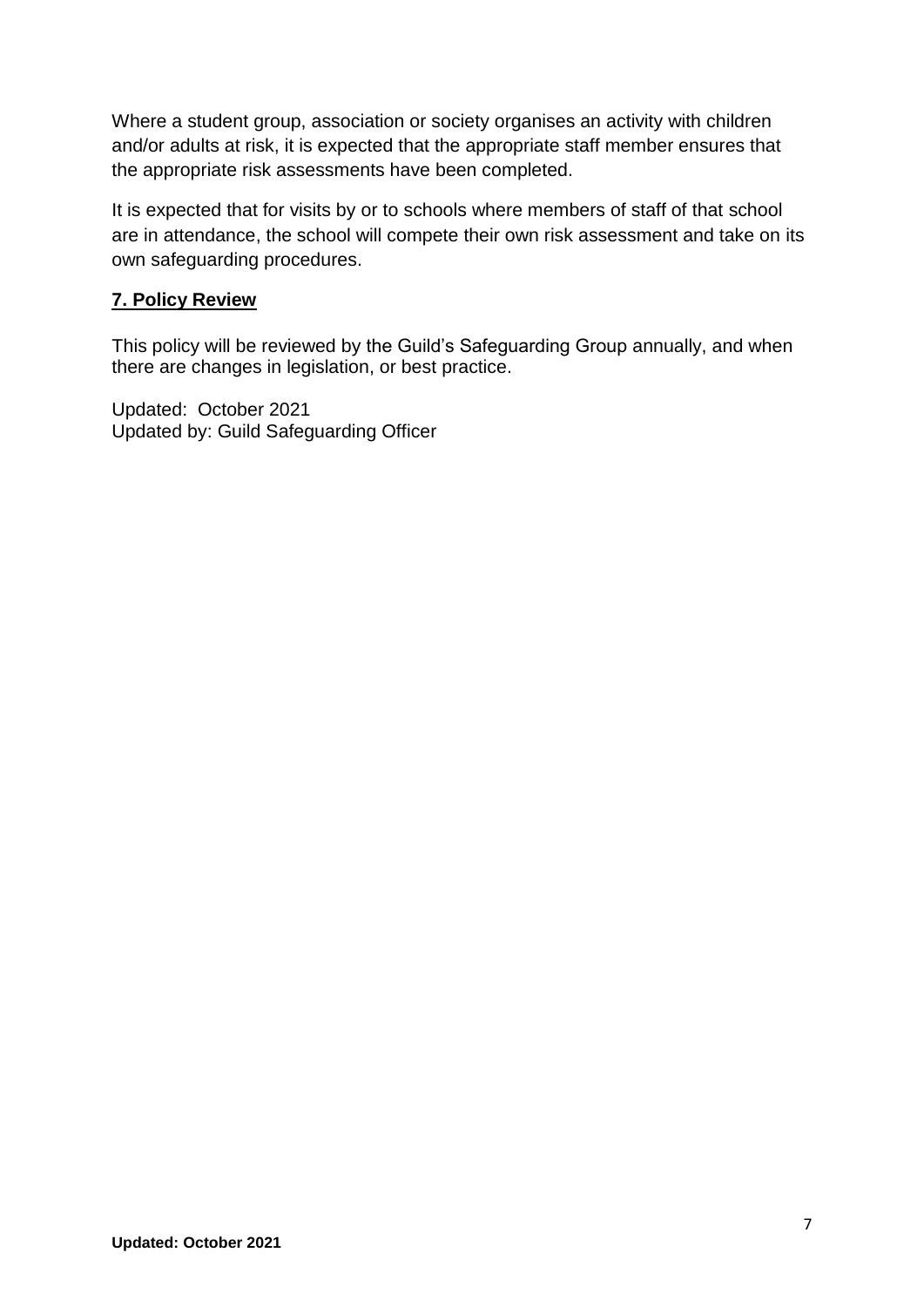Where a student group, association or society organises an activity with children and/or adults at risk, it is expected that the appropriate staff member ensures that the appropriate risk assessments have been completed.

It is expected that for visits by or to schools where members of staff of that school are in attendance, the school will compete their own risk assessment and take on its own safeguarding procedures.

# **7. Policy Review**

This policy will be reviewed by the Guild's Safeguarding Group annually, and when there are changes in legislation, or best practice.

Updated: October 2021 Updated by: Guild Safeguarding Officer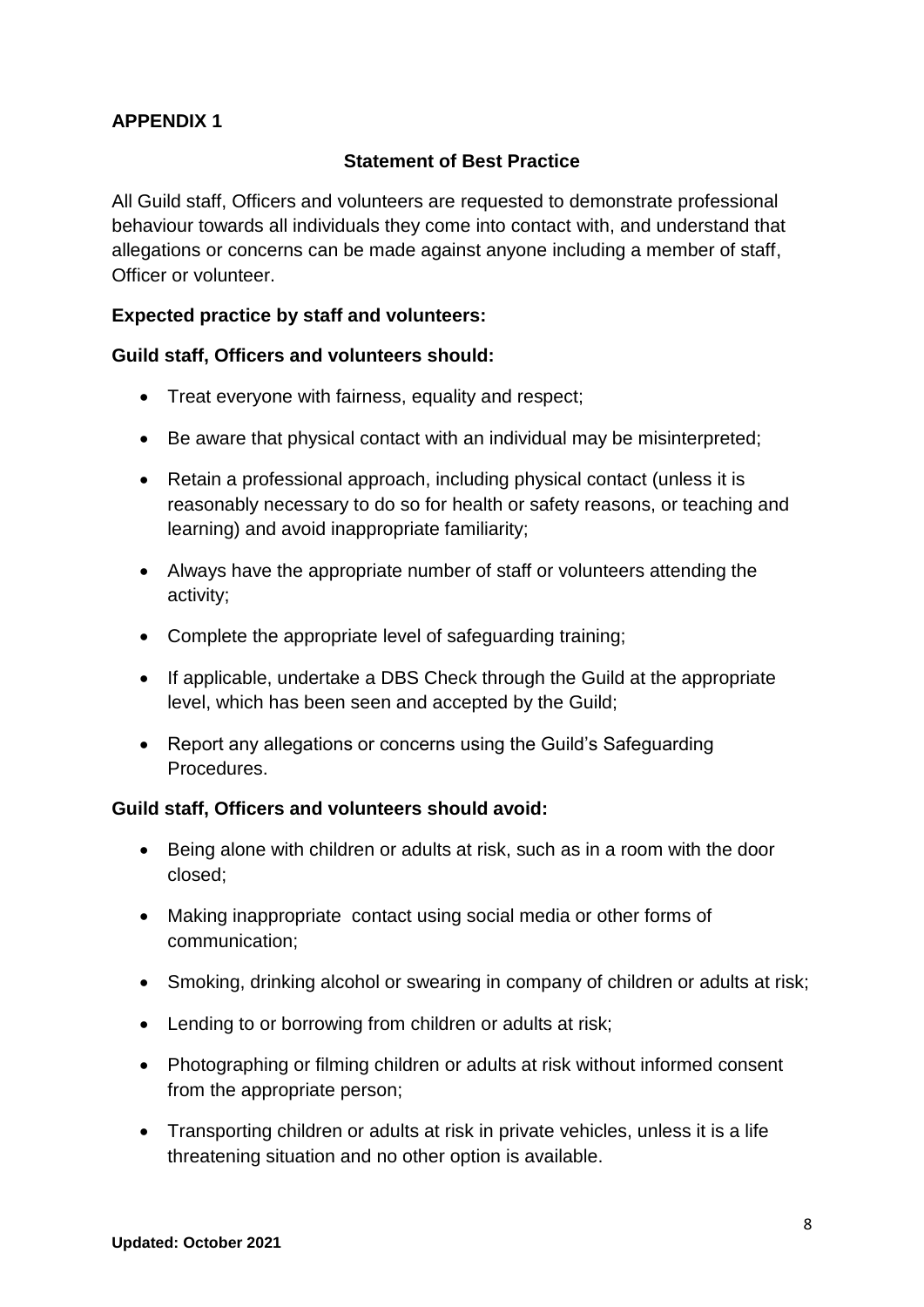# **Statement of Best Practice**

All Guild staff, Officers and volunteers are requested to demonstrate professional behaviour towards all individuals they come into contact with, and understand that allegations or concerns can be made against anyone including a member of staff, Officer or volunteer.

## **Expected practice by staff and volunteers:**

#### **Guild staff, Officers and volunteers should:**

- Treat everyone with fairness, equality and respect;
- Be aware that physical contact with an individual may be misinterpreted;
- Retain a professional approach, including physical contact (unless it is reasonably necessary to do so for health or safety reasons, or teaching and learning) and avoid inappropriate familiarity;
- Always have the appropriate number of staff or volunteers attending the activity;
- Complete the appropriate level of safeguarding training;
- If applicable, undertake a DBS Check through the Guild at the appropriate level, which has been seen and accepted by the Guild;
- Report any allegations or concerns using the Guild's Safeguarding Procedures.

#### **Guild staff, Officers and volunteers should avoid:**

- Being alone with children or adults at risk, such as in a room with the door closed;
- Making inappropriate contact using social media or other forms of communication;
- Smoking, drinking alcohol or swearing in company of children or adults at risk;
- Lending to or borrowing from children or adults at risk;
- Photographing or filming children or adults at risk without informed consent from the appropriate person;
- Transporting children or adults at risk in private vehicles, unless it is a life threatening situation and no other option is available.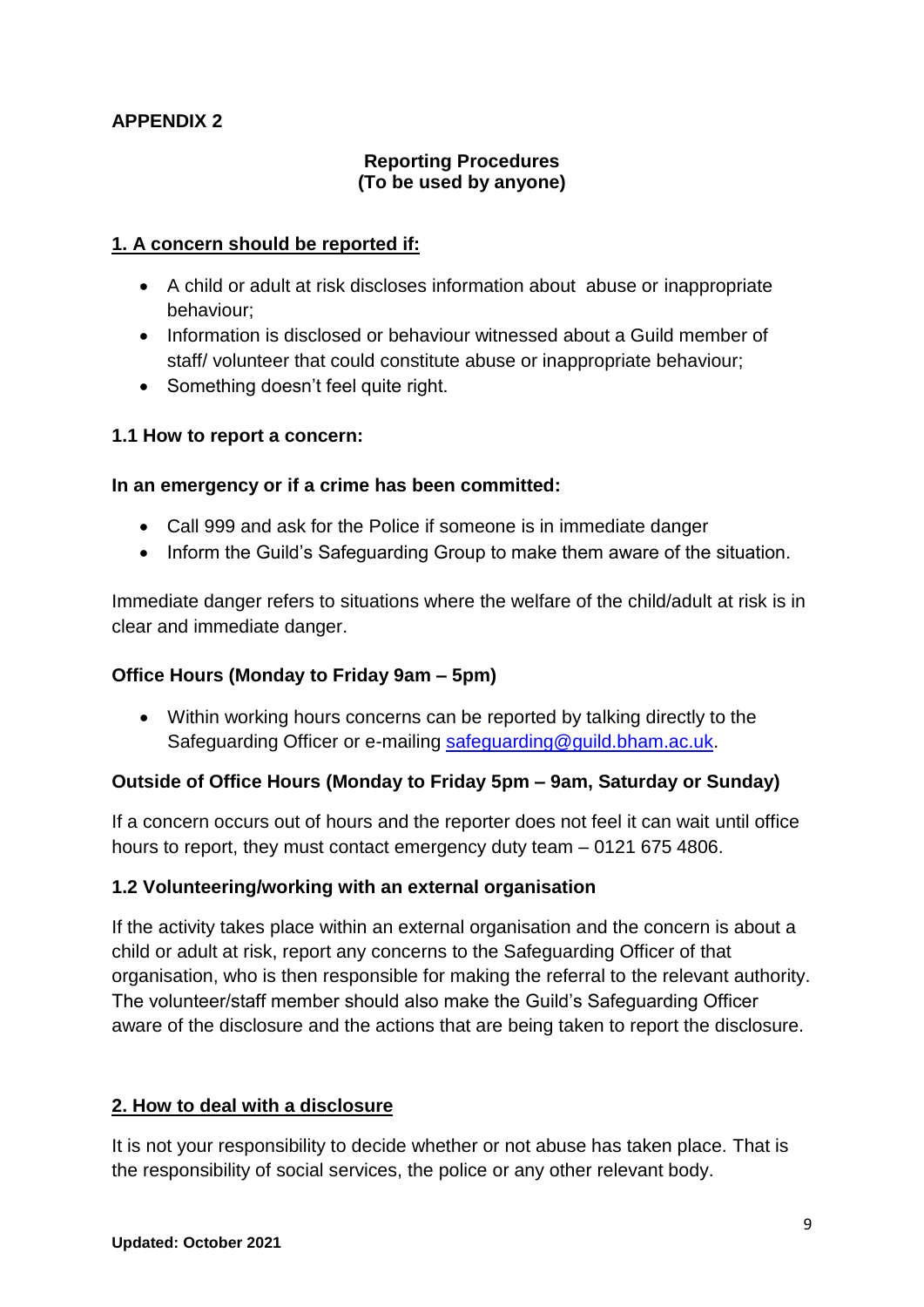## **Reporting Procedures (To be used by anyone)**

#### **1. A concern should be reported if:**

- A child or adult at risk discloses information about abuse or inappropriate behaviour;
- Information is disclosed or behaviour witnessed about a Guild member of staff/ volunteer that could constitute abuse or inappropriate behaviour;
- Something doesn't feel quite right.

## **1.1 How to report a concern:**

#### **In an emergency or if a crime has been committed:**

- Call 999 and ask for the Police if someone is in immediate danger
- Inform the Guild's Safeguarding Group to make them aware of the situation.

Immediate danger refers to situations where the welfare of the child/adult at risk is in clear and immediate danger.

#### **Office Hours (Monday to Friday 9am – 5pm)**

 Within working hours concerns can be reported by talking directly to the Safeguarding Officer or e-mailing [safeguarding@guild.bham.ac.uk.](mailto:safeguarding@guild.bham.ac.uk)

#### **Outside of Office Hours (Monday to Friday 5pm – 9am, Saturday or Sunday)**

If a concern occurs out of hours and the reporter does not feel it can wait until office hours to report, they must contact emergency duty team – 0121 675 4806.

#### **1.2 Volunteering/working with an external organisation**

If the activity takes place within an external organisation and the concern is about a child or adult at risk, report any concerns to the Safeguarding Officer of that organisation, who is then responsible for making the referral to the relevant authority. The volunteer/staff member should also make the Guild's Safeguarding Officer aware of the disclosure and the actions that are being taken to report the disclosure.

#### **2. How to deal with a disclosure**

It is not your responsibility to decide whether or not abuse has taken place. That is the responsibility of social services, the police or any other relevant body.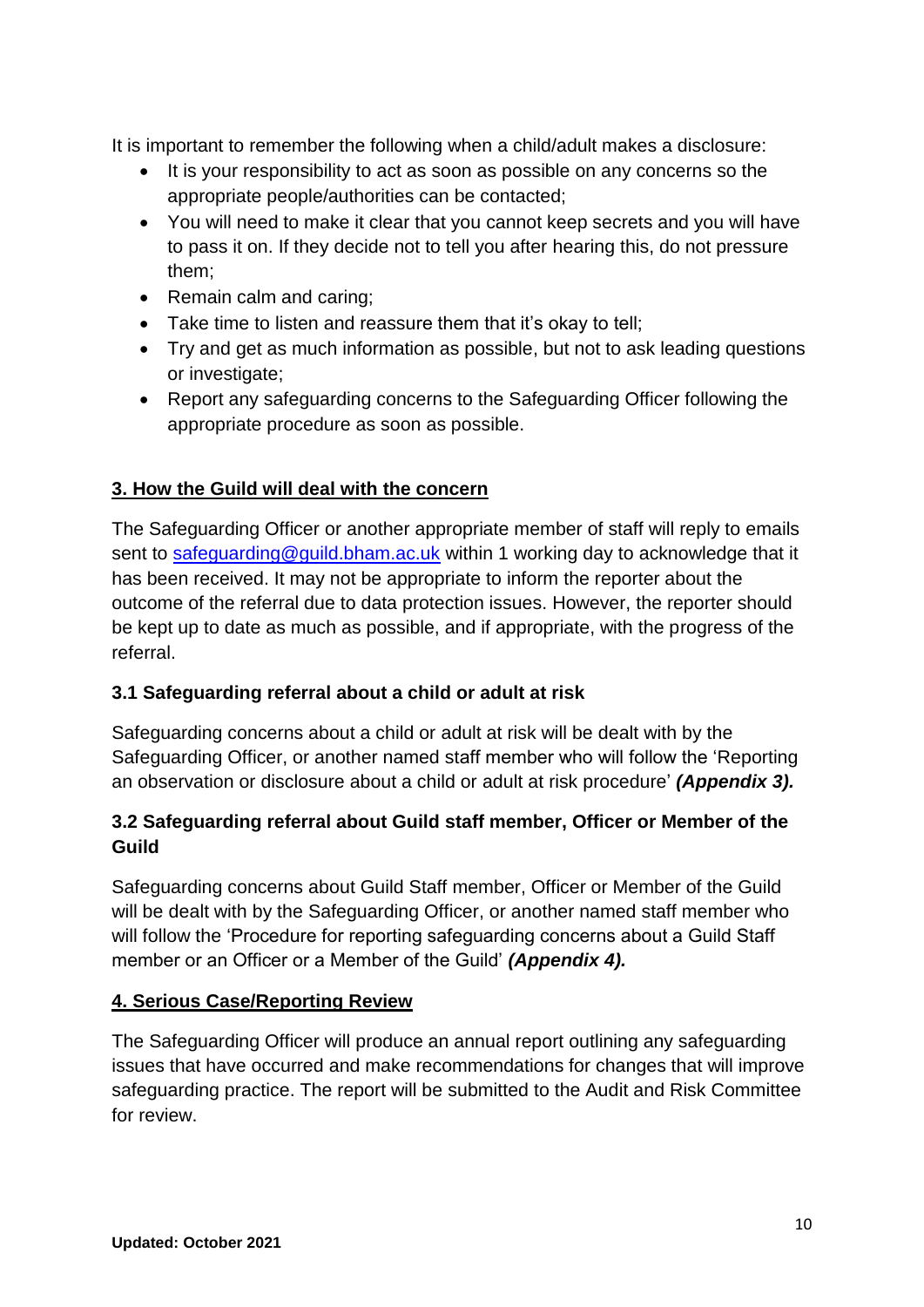It is important to remember the following when a child/adult makes a disclosure:

- It is your responsibility to act as soon as possible on any concerns so the appropriate people/authorities can be contacted;
- You will need to make it clear that you cannot keep secrets and you will have to pass it on. If they decide not to tell you after hearing this, do not pressure them;
- Remain calm and caring;
- Take time to listen and reassure them that it's okay to tell;
- Try and get as much information as possible, but not to ask leading questions or investigate;
- Report any safeguarding concerns to the Safeguarding Officer following the appropriate procedure as soon as possible.

# **3. How the Guild will deal with the concern**

The Safeguarding Officer or another appropriate member of staff will reply to emails sent to safequarding@quild.bham.ac.uk within 1 working day to acknowledge that it has been received. It may not be appropriate to inform the reporter about the outcome of the referral due to data protection issues. However, the reporter should be kept up to date as much as possible, and if appropriate, with the progress of the referral.

# **3.1 Safeguarding referral about a child or adult at risk**

Safeguarding concerns about a child or adult at risk will be dealt with by the Safeguarding Officer, or another named staff member who will follow the 'Reporting an observation or disclosure about a child or adult at risk procedure' *(Appendix 3).* 

# **3.2 Safeguarding referral about Guild staff member, Officer or Member of the Guild**

Safeguarding concerns about Guild Staff member, Officer or Member of the Guild will be dealt with by the Safeguarding Officer, or another named staff member who will follow the 'Procedure for reporting safeguarding concerns about a Guild Staff member or an Officer or a Member of the Guild' *(Appendix 4).* 

# **4. Serious Case/Reporting Review**

The Safeguarding Officer will produce an annual report outlining any safeguarding issues that have occurred and make recommendations for changes that will improve safeguarding practice. The report will be submitted to the Audit and Risk Committee for review.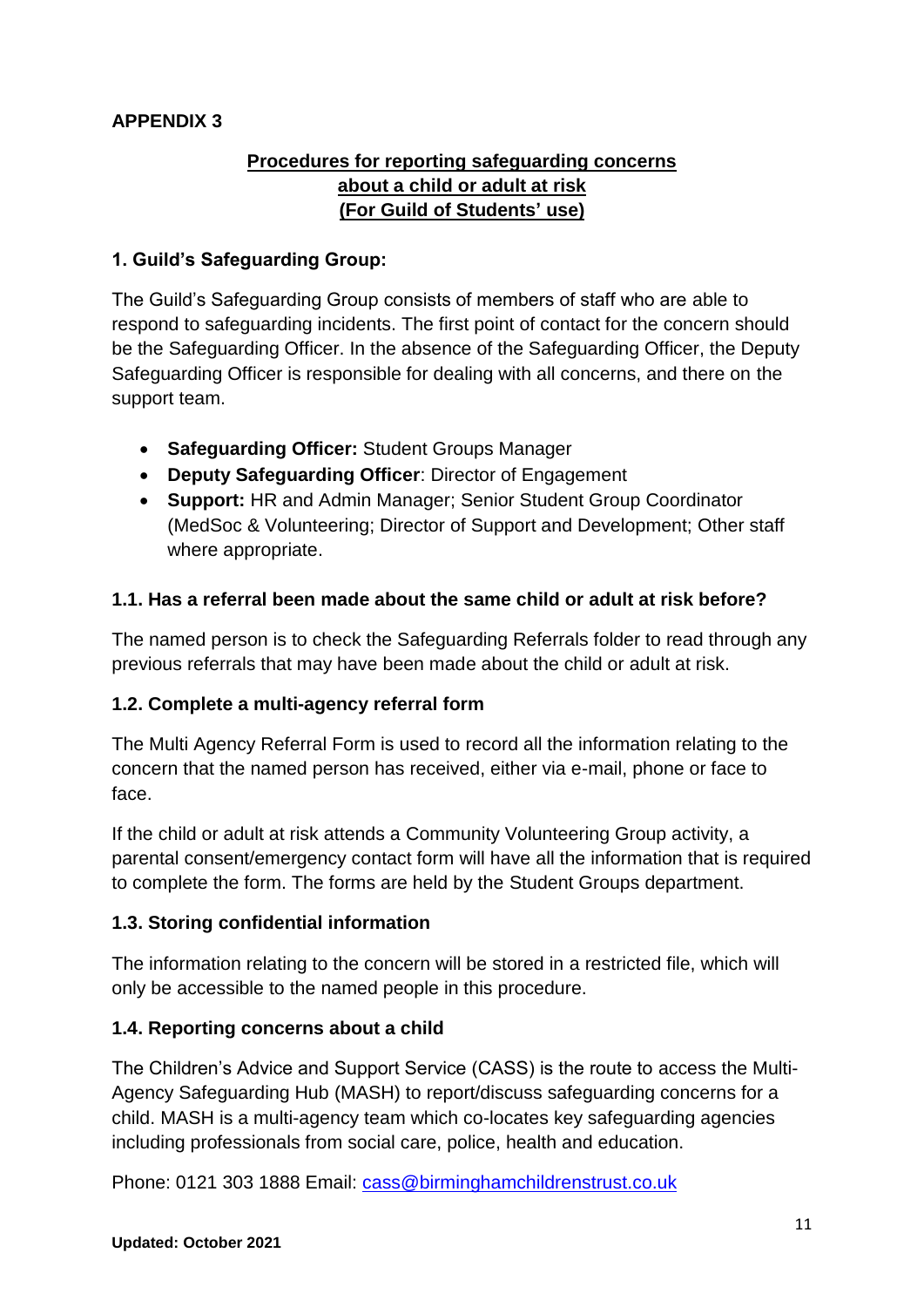# **Procedures for reporting safeguarding concerns about a child or adult at risk (For Guild of Students' use)**

## **1. Guild's Safeguarding Group:**

The Guild's Safeguarding Group consists of members of staff who are able to respond to safeguarding incidents. The first point of contact for the concern should be the Safeguarding Officer. In the absence of the Safeguarding Officer, the Deputy Safeguarding Officer is responsible for dealing with all concerns, and there on the support team.

- **Safeguarding Officer:** Student Groups Manager
- **Deputy Safeguarding Officer**: Director of Engagement
- **Support:** HR and Admin Manager; Senior Student Group Coordinator (MedSoc & Volunteering; Director of Support and Development; Other staff where appropriate.

# **1.1. Has a referral been made about the same child or adult at risk before?**

The named person is to check the Safeguarding Referrals folder to read through any previous referrals that may have been made about the child or adult at risk.

# **1.2. Complete a multi-agency referral form**

The Multi Agency Referral Form is used to record all the information relating to the concern that the named person has received, either via e-mail, phone or face to face.

If the child or adult at risk attends a Community Volunteering Group activity, a parental consent/emergency contact form will have all the information that is required to complete the form. The forms are held by the Student Groups department.

# **1.3. Storing confidential information**

The information relating to the concern will be stored in a restricted file, which will only be accessible to the named people in this procedure.

# **1.4. Reporting concerns about a child**

The Children's Advice and Support Service (CASS) is the route to access the Multi-Agency Safeguarding Hub (MASH) to report/discuss safeguarding concerns for a child. MASH is a multi-agency team which co-locates key safeguarding agencies including professionals from social care, police, health and education.

Phone: 0121 303 1888 Email: cass@birminghamchildrenstrust.co.uk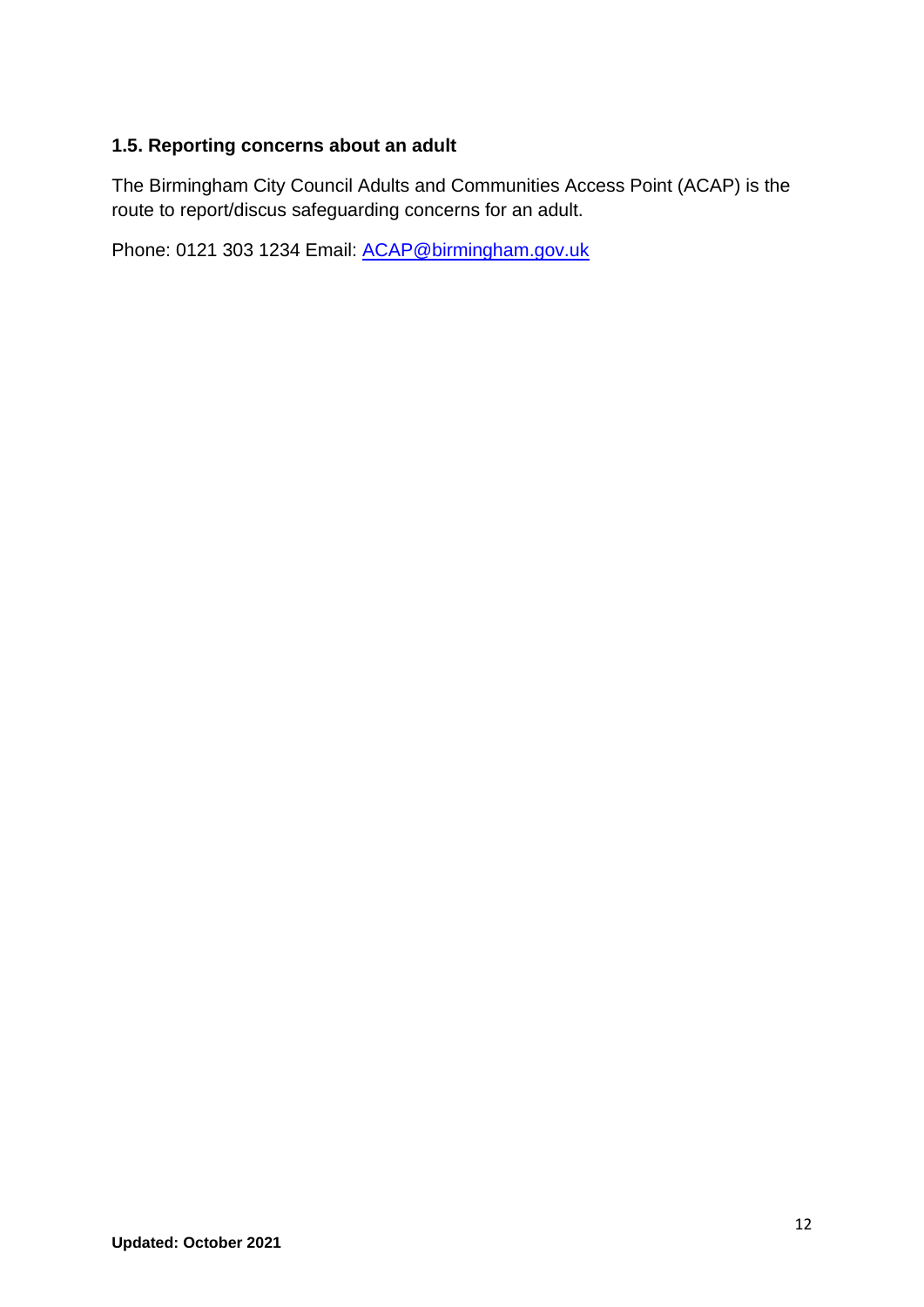# **1.5. Reporting concerns about an adult**

The Birmingham City Council Adults and Communities Access Point (ACAP) is the route to report/discus safeguarding concerns for an adult.

Phone: 0121 303 1234 Email: [ACAP@birmingham.gov.uk](mailto:ACAP@birmingham.gov.uk)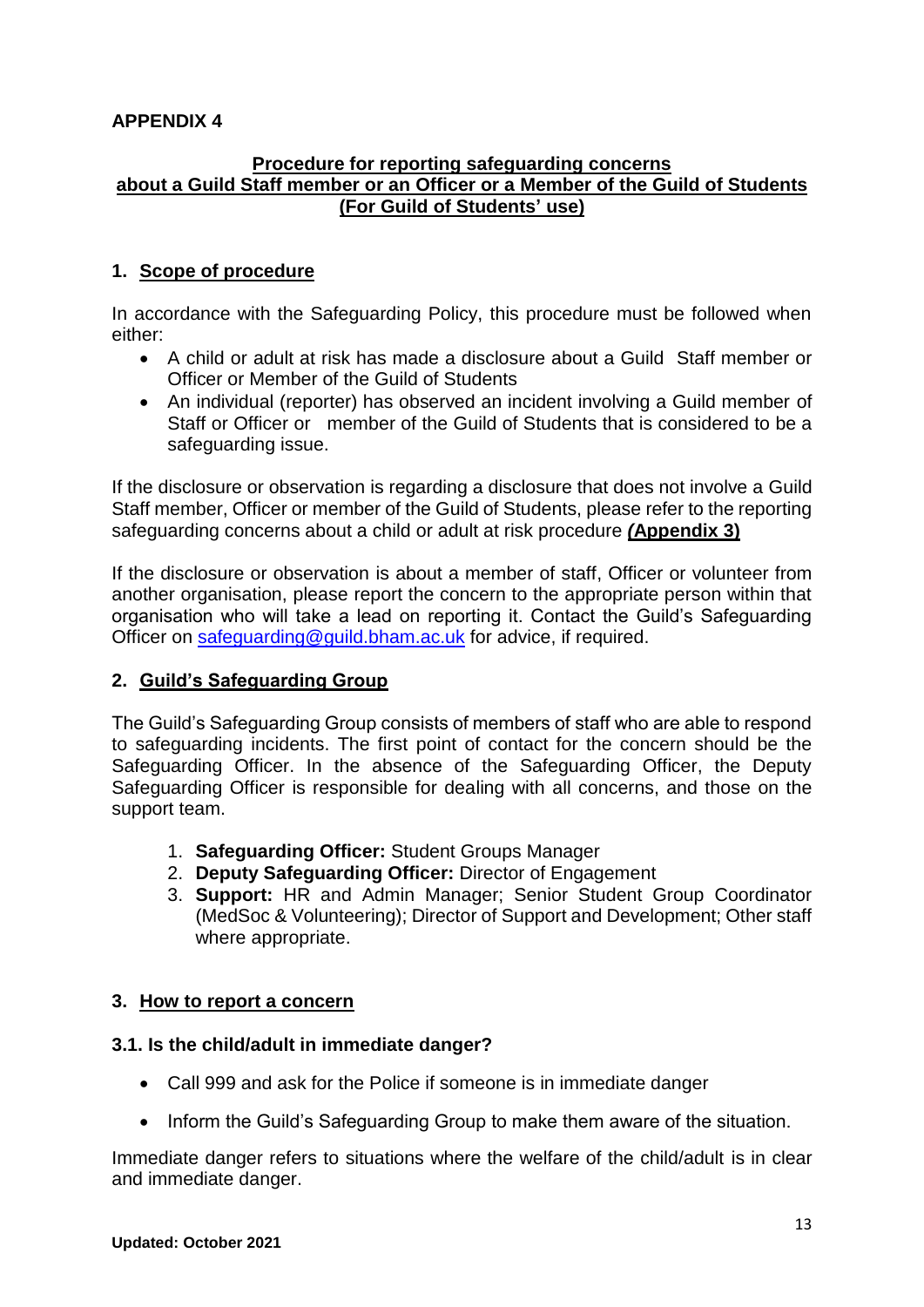#### **Procedure for reporting safeguarding concerns about a Guild Staff member or an Officer or a Member of the Guild of Students (For Guild of Students' use)**

# **1. Scope of procedure**

In accordance with the Safeguarding Policy, this procedure must be followed when either:

- A child or adult at risk has made a disclosure about a Guild Staff member or Officer or Member of the Guild of Students
- An individual (reporter) has observed an incident involving a Guild member of Staff or Officer or member of the Guild of Students that is considered to be a safeguarding issue.

If the disclosure or observation is regarding a disclosure that does not involve a Guild Staff member, Officer or member of the Guild of Students, please refer to the reporting safeguarding concerns about a child or adult at risk procedure *(***Appendix 3)**

If the disclosure or observation is about a member of staff, Officer or volunteer from another organisation, please report the concern to the appropriate person within that organisation who will take a lead on reporting it. Contact the Guild's Safeguarding Officer on [safeguarding@guild.bham.ac.uk](mailto:safeguarding@guild.bham.ac.uk) for advice, if required.

#### **2. Guild's Safeguarding Group**

The Guild's Safeguarding Group consists of members of staff who are able to respond to safeguarding incidents. The first point of contact for the concern should be the Safeguarding Officer. In the absence of the Safeguarding Officer, the Deputy Safeguarding Officer is responsible for dealing with all concerns, and those on the support team.

- 1. **Safeguarding Officer:** Student Groups Manager
- 2. **Deputy Safeguarding Officer:** Director of Engagement
- 3. **Support:** HR and Admin Manager; Senior Student Group Coordinator (MedSoc & Volunteering); Director of Support and Development; Other staff where appropriate.

#### **3. How to report a concern**

#### **3.1. Is the child/adult in immediate danger?**

- Call 999 and ask for the Police if someone is in immediate danger
- Inform the Guild's Safeguarding Group to make them aware of the situation.

Immediate danger refers to situations where the welfare of the child/adult is in clear and immediate danger.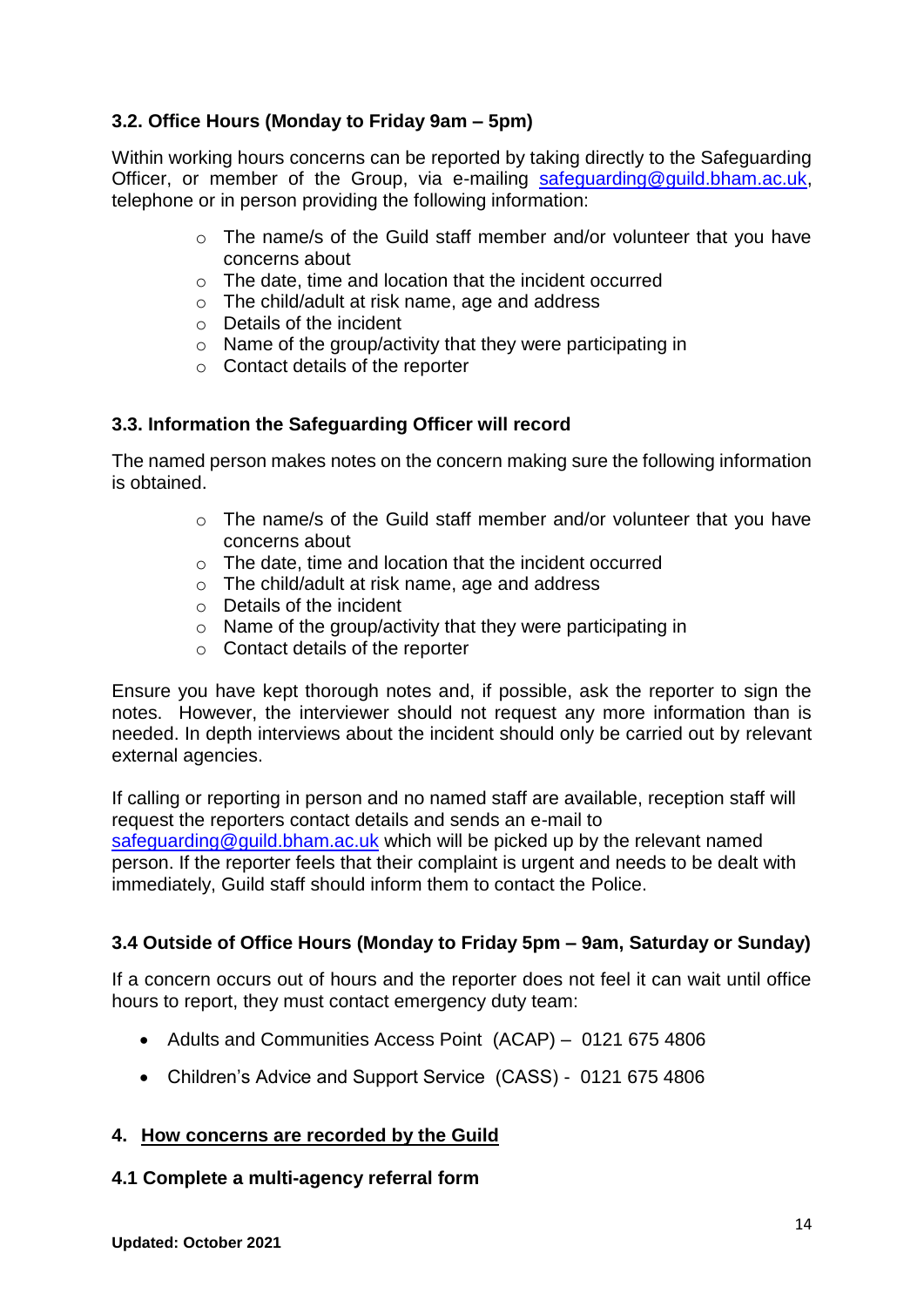# **3.2. Office Hours (Monday to Friday 9am – 5pm)**

Within working hours concerns can be reported by taking directly to the Safeguarding Officer, or member of the Group, via e-mailing [safeguarding@guild.bham.ac.uk,](mailto:safeguarding@guild.bham.ac.uk) telephone or in person providing the following information:

- $\circ$  The name/s of the Guild staff member and/or volunteer that you have concerns about
- o The date, time and location that the incident occurred
- o The child/adult at risk name, age and address
- o Details of the incident
- o Name of the group/activity that they were participating in
- o Contact details of the reporter

#### **3.3. Information the Safeguarding Officer will record**

The named person makes notes on the concern making sure the following information is obtained.

- o The name/s of the Guild staff member and/or volunteer that you have concerns about
- o The date, time and location that the incident occurred
- o The child/adult at risk name, age and address
- o Details of the incident
- o Name of the group/activity that they were participating in
- o Contact details of the reporter

Ensure you have kept thorough notes and, if possible, ask the reporter to sign the notes. However, the interviewer should not request any more information than is needed. In depth interviews about the incident should only be carried out by relevant external agencies.

If calling or reporting in person and no named staff are available, reception staff will request the reporters contact details and sends an e-mail to [safeguarding@guild.bham.ac.uk](mailto:safeguarding@guild.bham.ac.uk) which will be picked up by the relevant named person. If the reporter feels that their complaint is urgent and needs to be dealt with immediately, Guild staff should inform them to contact the Police.

# **3.4 Outside of Office Hours (Monday to Friday 5pm – 9am, Saturday or Sunday)**

If a concern occurs out of hours and the reporter does not feel it can wait until office hours to report, they must contact emergency duty team:

- Adults and Communities Access Point (ACAP) 0121 675 4806
- Children's Advice and Support Service (CASS) 0121 675 4806

#### **4. How concerns are recorded by the Guild**

#### **4.1 Complete a multi-agency referral form**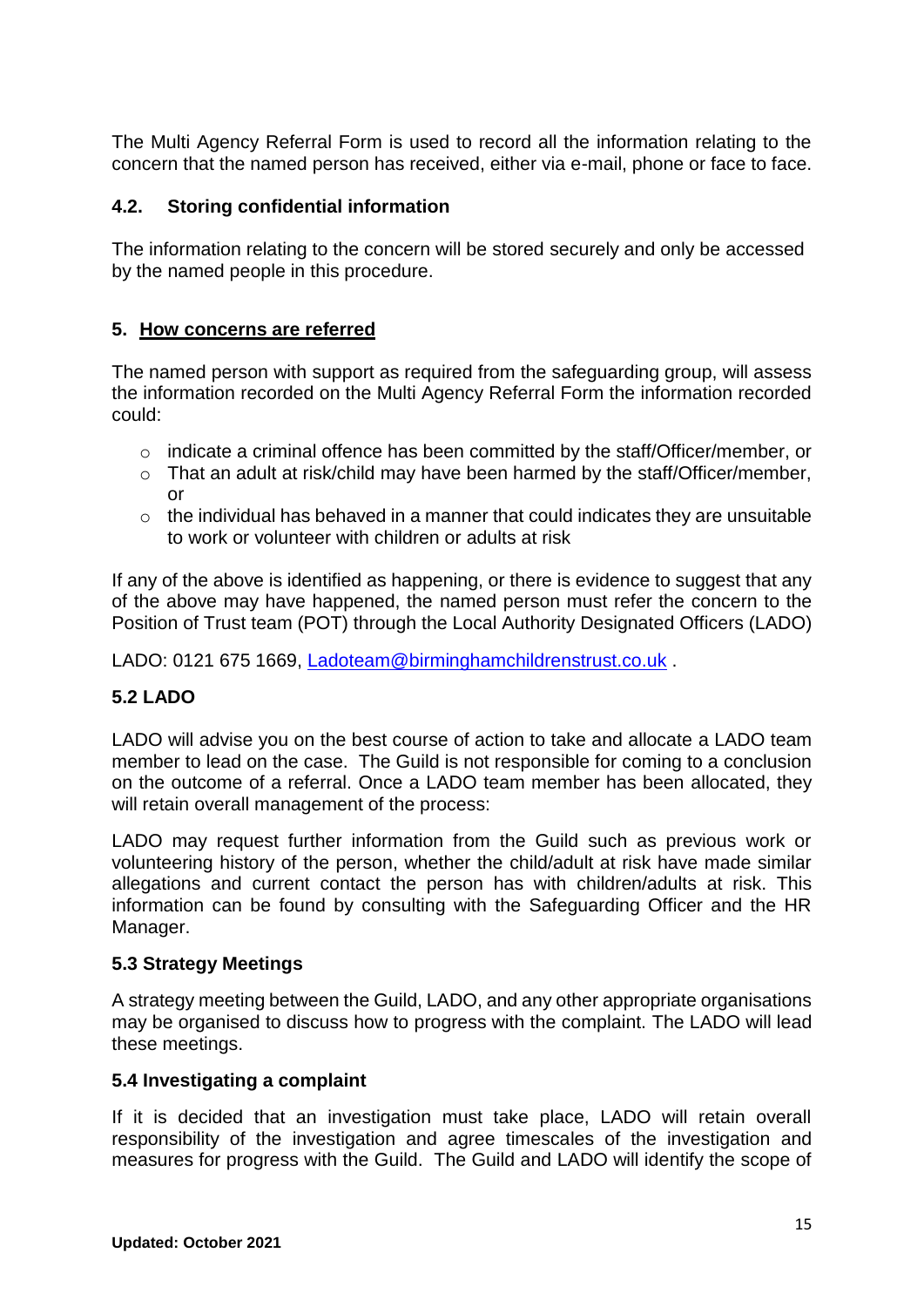The Multi Agency Referral Form is used to record all the information relating to the concern that the named person has received, either via e-mail, phone or face to face.

#### **4.2. Storing confidential information**

The information relating to the concern will be stored securely and only be accessed by the named people in this procedure.

## **5. How concerns are referred**

The named person with support as required from the safeguarding group, will assess the information recorded on the Multi Agency Referral Form the information recorded could:

- o indicate a criminal offence has been committed by the staff/Officer/member, or
- o That an adult at risk/child may have been harmed by the staff/Officer/member,  $\alpha$ r
- $\circ$  the individual has behaved in a manner that could indicates they are unsuitable to work or volunteer with children or adults at risk

If any of the above is identified as happening, or there is evidence to suggest that any of the above may have happened, the named person must refer the concern to the Position of Trust team (POT) through the Local Authority Designated Officers (LADO)

LADO: 0121 675 1669, [Ladoteam@birminghamchildrenstrust.co.uk](mailto:Ladoteam@birminghamchildrenstrust.co.uk) .

# **5.2 LADO**

LADO will advise you on the best course of action to take and allocate a LADO team member to lead on the case. The Guild is not responsible for coming to a conclusion on the outcome of a referral. Once a LADO team member has been allocated, they will retain overall management of the process:

LADO may request further information from the Guild such as previous work or volunteering history of the person, whether the child/adult at risk have made similar allegations and current contact the person has with children/adults at risk. This information can be found by consulting with the Safeguarding Officer and the HR Manager.

#### **5.3 Strategy Meetings**

A strategy meeting between the Guild, LADO, and any other appropriate organisations may be organised to discuss how to progress with the complaint. The LADO will lead these meetings.

#### **5.4 Investigating a complaint**

If it is decided that an investigation must take place, LADO will retain overall responsibility of the investigation and agree timescales of the investigation and measures for progress with the Guild. The Guild and LADO will identify the scope of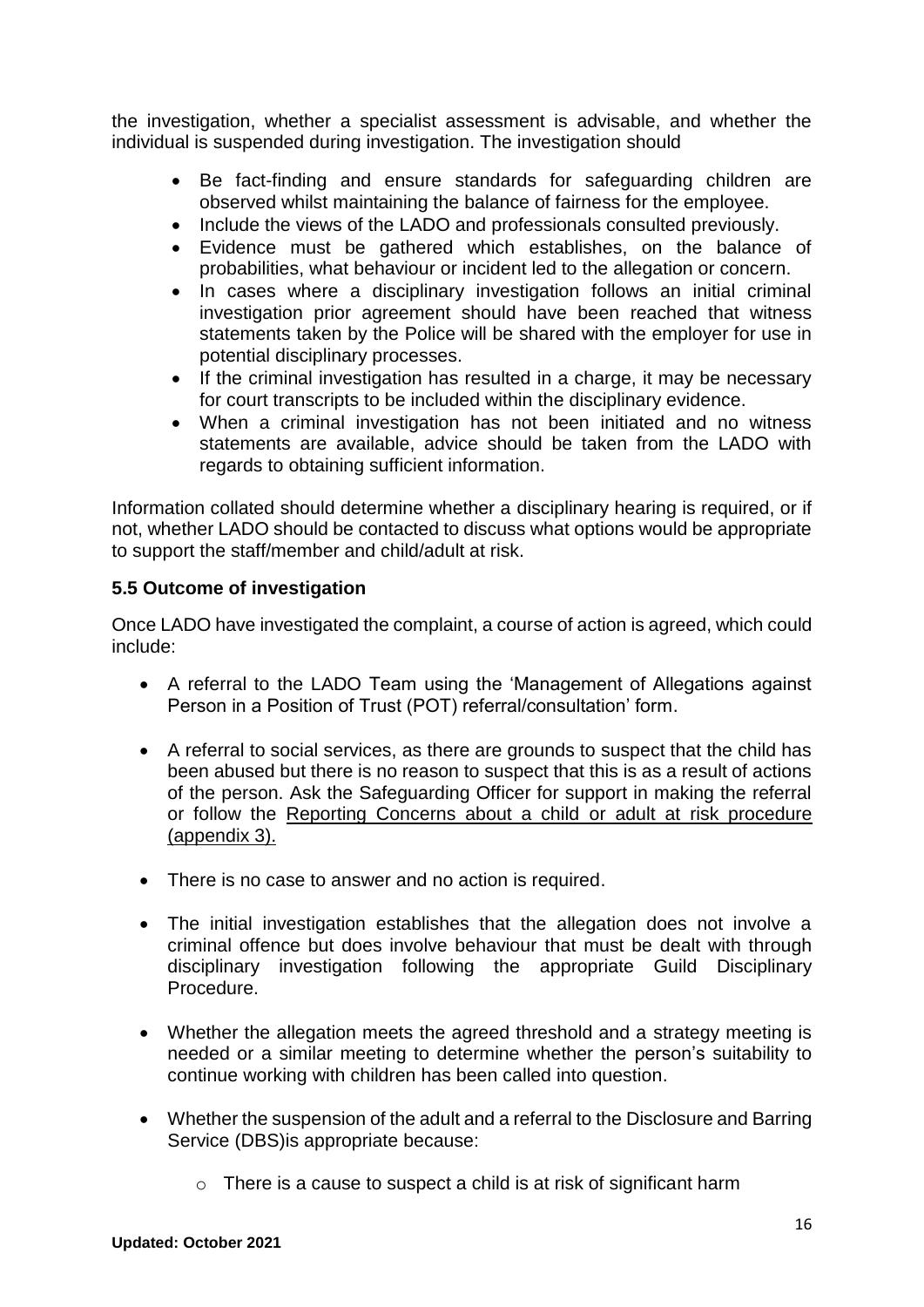the investigation, whether a specialist assessment is advisable, and whether the individual is suspended during investigation. The investigation should

- Be fact-finding and ensure standards for safeguarding children are observed whilst maintaining the balance of fairness for the employee.
- Include the views of the LADO and professionals consulted previously.
- Evidence must be gathered which establishes, on the balance of probabilities, what behaviour or incident led to the allegation or concern.
- In cases where a disciplinary investigation follows an initial criminal investigation prior agreement should have been reached that witness statements taken by the Police will be shared with the employer for use in potential disciplinary processes.
- If the criminal investigation has resulted in a charge, it may be necessary for court transcripts to be included within the disciplinary evidence.
- When a criminal investigation has not been initiated and no witness statements are available, advice should be taken from the LADO with regards to obtaining sufficient information.

Information collated should determine whether a disciplinary hearing is required, or if not, whether LADO should be contacted to discuss what options would be appropriate to support the staff/member and child/adult at risk.

# **5.5 Outcome of investigation**

Once LADO have investigated the complaint, a course of action is agreed, which could include:

- A referral to the LADO Team using the 'Management of Allegations against Person in a Position of Trust (POT) referral/consultation' form.
- A referral to social services, as there are grounds to suspect that the child has been abused but there is no reason to suspect that this is as a result of actions of the person. Ask the Safeguarding Officer for support in making the referral or follow the Reporting Concerns about a child or adult at risk procedure (appendix 3).
- There is no case to answer and no action is required.
- The initial investigation establishes that the allegation does not involve a criminal offence but does involve behaviour that must be dealt with through disciplinary investigation following the appropriate Guild Disciplinary Procedure.
- Whether the allegation meets the agreed threshold and a strategy meeting is needed or a similar meeting to determine whether the person's suitability to continue working with children has been called into question.
- Whether the suspension of the adult and a referral to the Disclosure and Barring Service (DBS)is appropriate because:
	- $\circ$  There is a cause to suspect a child is at risk of significant harm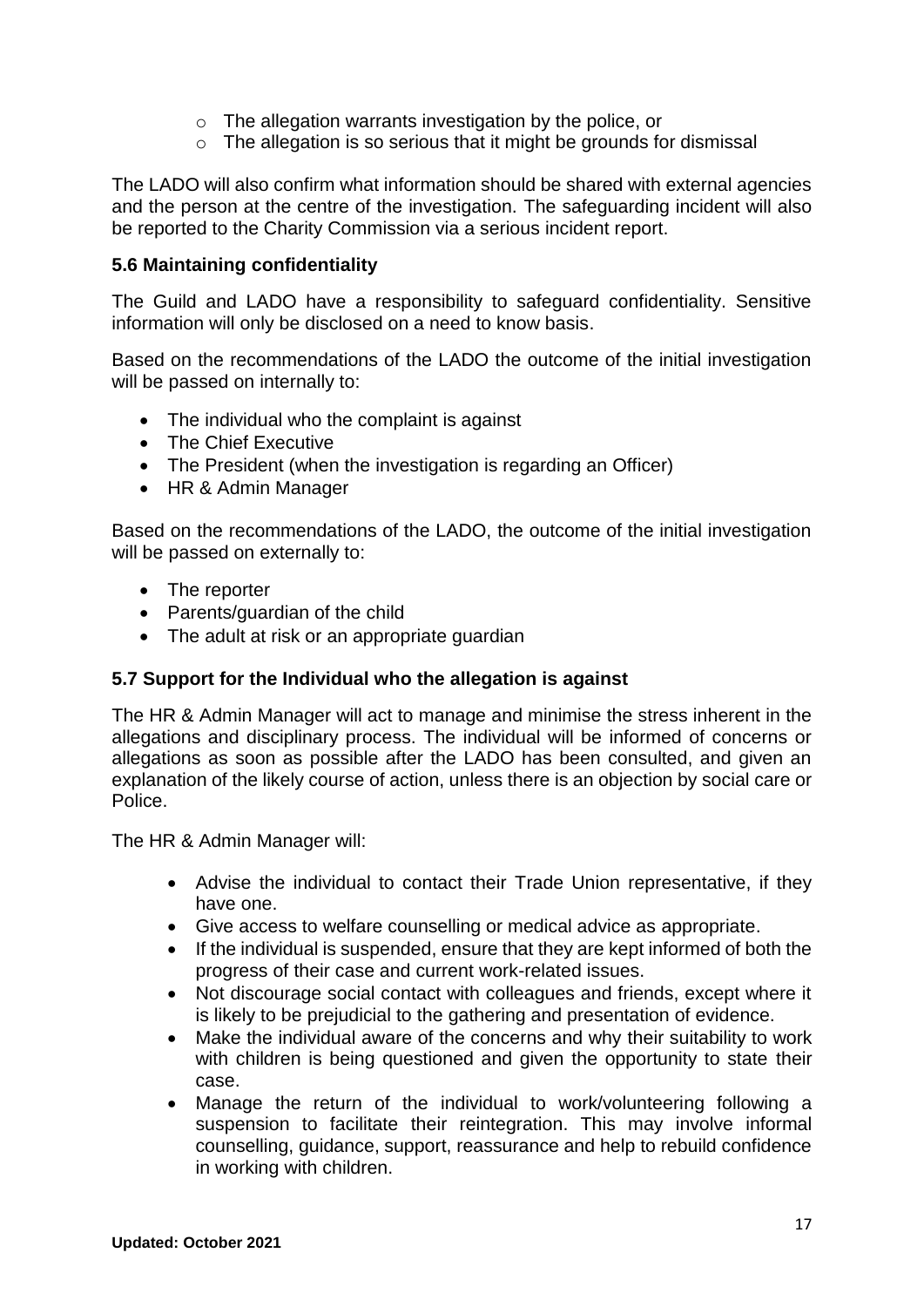- o The allegation warrants investigation by the police, or
- o The allegation is so serious that it might be grounds for dismissal

The LADO will also confirm what information should be shared with external agencies and the person at the centre of the investigation. The safeguarding incident will also be reported to the Charity Commission via a serious incident report.

#### **5.6 Maintaining confidentiality**

The Guild and LADO have a responsibility to safeguard confidentiality. Sensitive information will only be disclosed on a need to know basis.

Based on the recommendations of the LADO the outcome of the initial investigation will be passed on internally to:

- The individual who the complaint is against
- The Chief Executive
- The President (when the investigation is regarding an Officer)
- HR & Admin Manager

Based on the recommendations of the LADO, the outcome of the initial investigation will be passed on externally to:

- The reporter
- Parents/guardian of the child
- The adult at risk or an appropriate guardian

#### **5.7 Support for the Individual who the allegation is against**

The HR & Admin Manager will act to manage and minimise the stress inherent in the allegations and disciplinary process. The individual will be informed of concerns or allegations as soon as possible after the LADO has been consulted, and given an explanation of the likely course of action, unless there is an objection by social care or Police.

The HR & Admin Manager will:

- Advise the individual to contact their Trade Union representative, if they have one.
- Give access to welfare counselling or medical advice as appropriate.
- If the individual is suspended, ensure that they are kept informed of both the progress of their case and current work-related issues.
- Not discourage social contact with colleagues and friends, except where it is likely to be prejudicial to the gathering and presentation of evidence.
- Make the individual aware of the concerns and why their suitability to work with children is being questioned and given the opportunity to state their case.
- Manage the return of the individual to work/volunteering following a suspension to facilitate their reintegration. This may involve informal counselling, guidance, support, reassurance and help to rebuild confidence in working with children.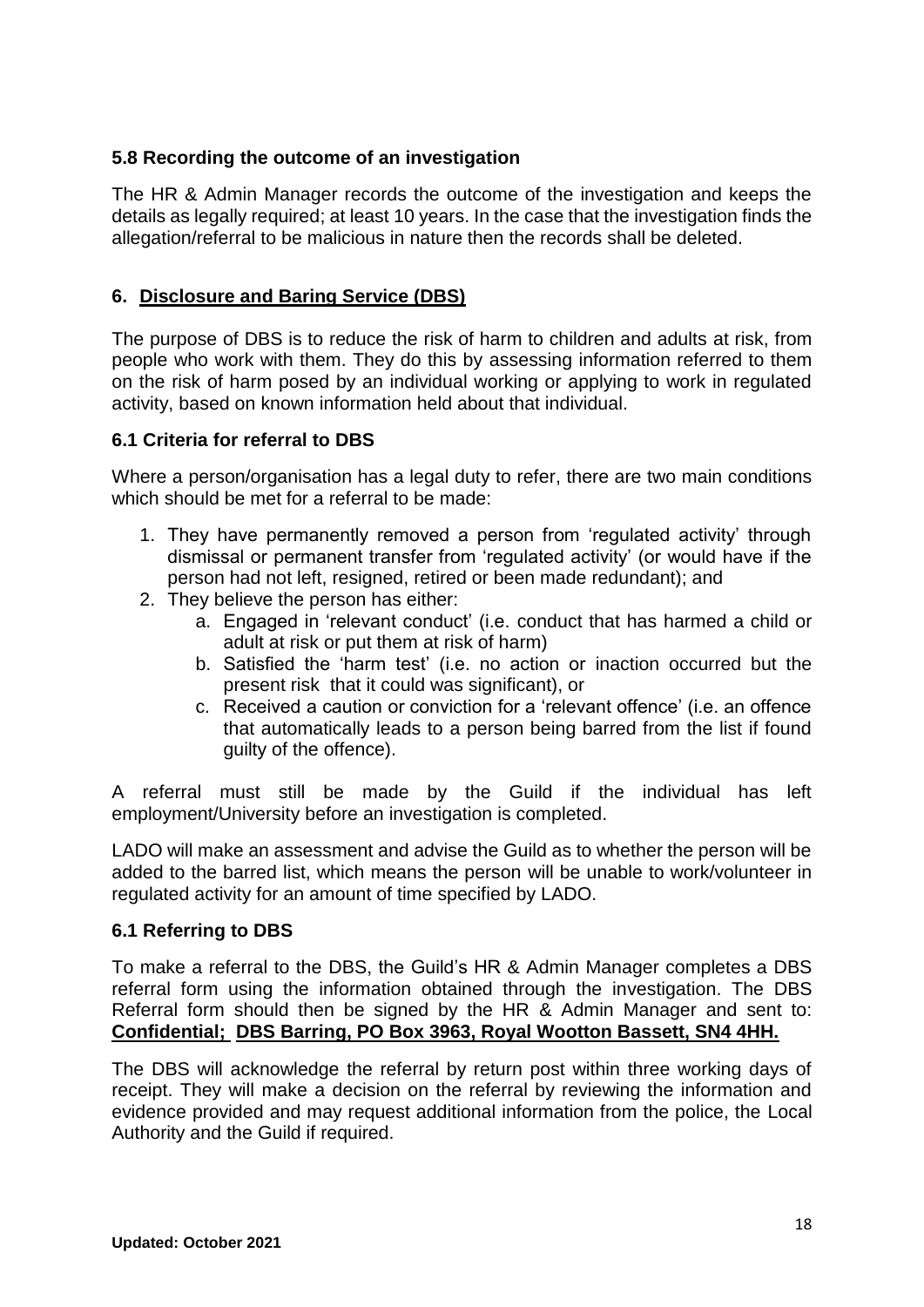## **5.8 Recording the outcome of an investigation**

The HR & Admin Manager records the outcome of the investigation and keeps the details as legally required; at least 10 years. In the case that the investigation finds the allegation/referral to be malicious in nature then the records shall be deleted.

# **6. Disclosure and Baring Service (DBS)**

The purpose of DBS is to reduce the risk of harm to children and adults at risk, from people who work with them. They do this by assessing information referred to them on the risk of harm posed by an individual working or applying to work in regulated activity, based on known information held about that individual.

## **6.1 Criteria for referral to DBS**

Where a person/organisation has a legal duty to refer, there are two main conditions which should be met for a referral to be made:

- 1. They have permanently removed a person from 'regulated activity' through dismissal or permanent transfer from 'regulated activity' (or would have if the person had not left, resigned, retired or been made redundant); and
- 2. They believe the person has either:
	- a. Engaged in 'relevant conduct' (i.e. conduct that has harmed a child or adult at risk or put them at risk of harm)
	- b. Satisfied the 'harm test' (i.e. no action or inaction occurred but the present risk that it could was significant), or
	- c. Received a caution or conviction for a 'relevant offence' (i.e. an offence that automatically leads to a person being barred from the list if found guilty of the offence).

A referral must still be made by the Guild if the individual has left employment/University before an investigation is completed.

LADO will make an assessment and advise the Guild as to whether the person will be added to the barred list, which means the person will be unable to work/volunteer in regulated activity for an amount of time specified by LADO.

#### **6.1 Referring to DBS**

To make a referral to the DBS, the Guild's HR & Admin Manager completes a DBS referral form using the information obtained through the investigation. The DBS Referral form should then be signed by the HR & Admin Manager and sent to: **Confidential; DBS Barring, PO Box 3963, Royal Wootton Bassett, SN4 4HH.** 

The DBS will acknowledge the referral by return post within three working days of receipt. They will make a decision on the referral by reviewing the information and evidence provided and may request additional information from the police, the Local Authority and the Guild if required.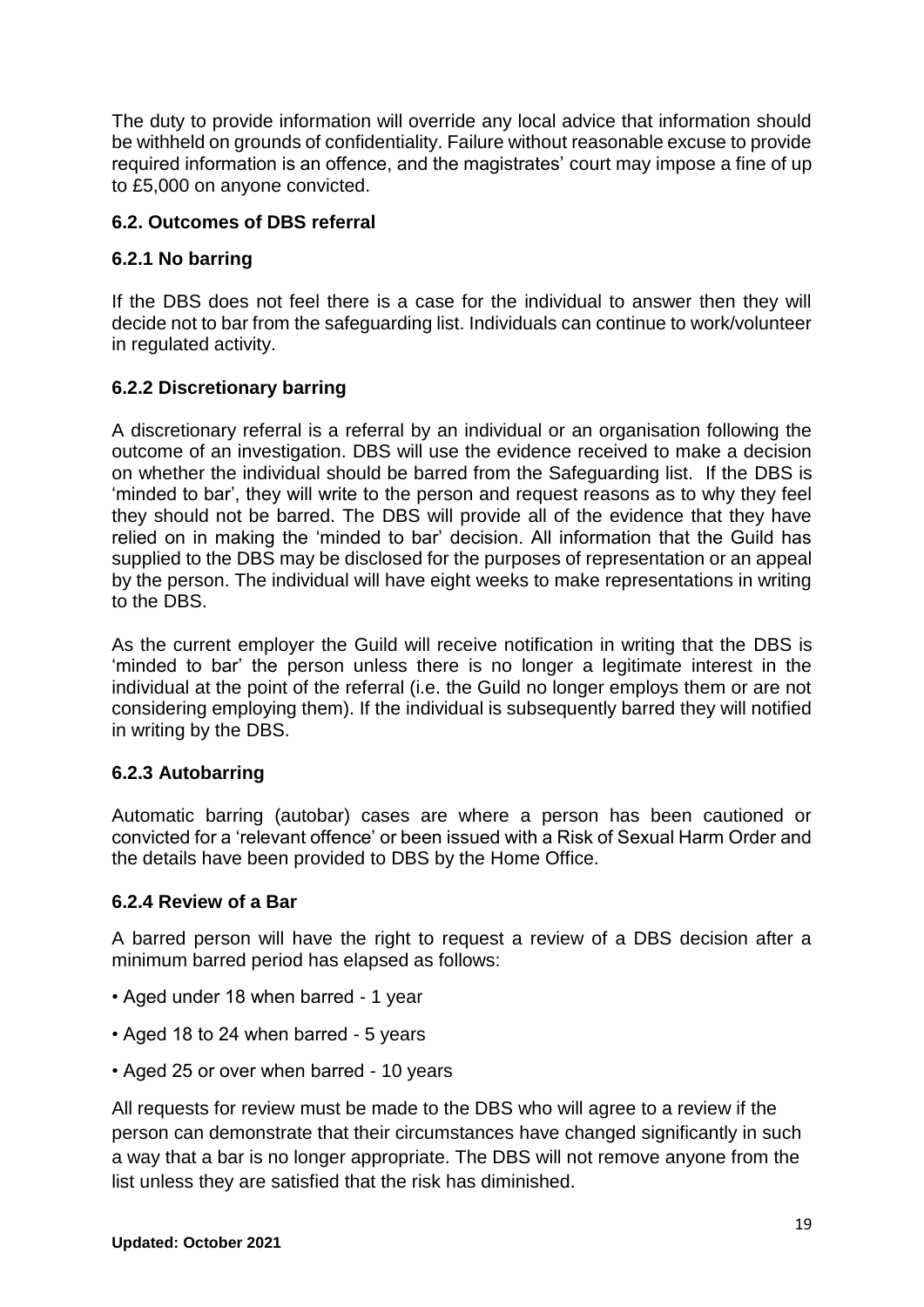The duty to provide information will override any local advice that information should be withheld on grounds of confidentiality. Failure without reasonable excuse to provide required information is an offence, and the magistrates' court may impose a fine of up to £5,000 on anyone convicted.

## **6.2. Outcomes of DBS referral**

## **6.2.1 No barring**

If the DBS does not feel there is a case for the individual to answer then they will decide not to bar from the safeguarding list. Individuals can continue to work/volunteer in regulated activity.

## **6.2.2 Discretionary barring**

A discretionary referral is a referral by an individual or an organisation following the outcome of an investigation. DBS will use the evidence received to make a decision on whether the individual should be barred from the Safeguarding list. If the DBS is 'minded to bar', they will write to the person and request reasons as to why they feel they should not be barred. The DBS will provide all of the evidence that they have relied on in making the 'minded to bar' decision. All information that the Guild has supplied to the DBS may be disclosed for the purposes of representation or an appeal by the person. The individual will have eight weeks to make representations in writing to the DBS.

As the current employer the Guild will receive notification in writing that the DBS is 'minded to bar' the person unless there is no longer a legitimate interest in the individual at the point of the referral (i.e. the Guild no longer employs them or are not considering employing them). If the individual is subsequently barred they will notified in writing by the DBS.

#### **6.2.3 Autobarring**

Automatic barring (autobar) cases are where a person has been cautioned or convicted for a 'relevant offence' or been issued with a Risk of Sexual Harm Order and the details have been provided to DBS by the Home Office.

#### **6.2.4 Review of a Bar**

A barred person will have the right to request a review of a DBS decision after a minimum barred period has elapsed as follows:

- Aged under 18 when barred 1 year
- Aged 18 to 24 when barred 5 years
- Aged 25 or over when barred 10 years

All requests for review must be made to the DBS who will agree to a review if the person can demonstrate that their circumstances have changed significantly in such a way that a bar is no longer appropriate. The DBS will not remove anyone from the list unless they are satisfied that the risk has diminished.